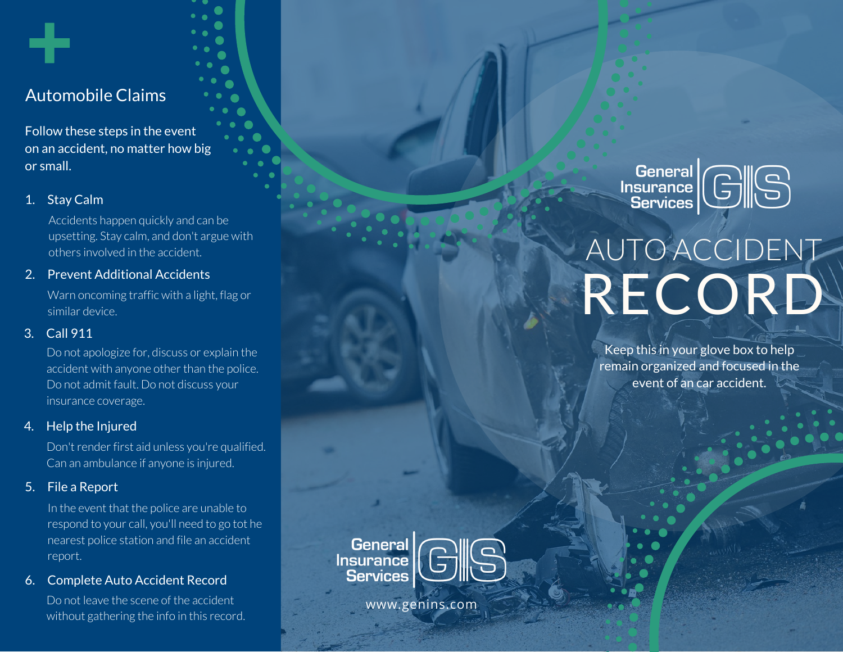# Automobile Claims

Follow these steps in the event on an accident, no matter how big or small.

# 1. Stay Calm

Accidents happen quickly and can be upsetting. Stay calm, and don't argue with others involved in the accident.

## 2. Prevent Additional Accidents

Warn oncoming traffic with a light, flag or similar device.

# 3. Call 911

Do not apologize for, discuss or explain the accident with anyone other than the police. Do not admit fault. Do not discuss your insurance coverage.

## 4. Help the Injured

Don't render first aid unless you're qualified. Can an ambulance if anyone is injured.

# 5. File a Report

In the event that the police are unable to respond to your call, you'll need to go tot he nearest police station and file an accident report.

## 6. Complete Auto Accident Record

Do not leave the scene of the accident without gathering the info in this record. General<br>Insurance<br>Services

# AUTO ACCIDENT RECORD

Keep this in your glove box to help remain organized and focused in the event of an car accident.

||General<br>| Insurance **Services** 

www.genins.com